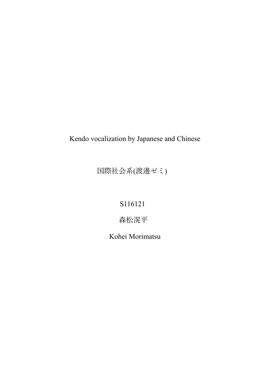# Kendo vocalization by Japanese and Chinese

国際社会系(渡邊ゼミ)

S116121

森松滉平

Kohei Morimatsu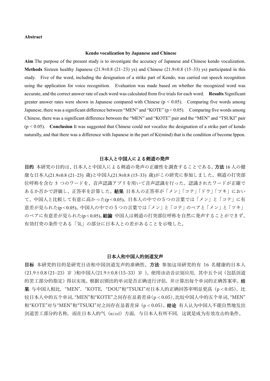## **Abstract**

#### **Kendo vocalization by Japanese and Chinese**

**Aim** The purpose of the present study is to investigate the accuracy of Japanese and Chinese kendo vocalization. **Methods** Sixteen healthy Japanese (21.9 $\pm$ 0.8 (21–23) ys) and Chinese (21.9 $\pm$ 0.8 (15–33) ys) participated in this study. Five of the word, including the designation of a strike part of Kendo, was carried out speech recognition using the application for voice recognition. Evaluation was made based on whether the recognized word was accurate, and the correct answer rate of each word was calculated from five trials for each word. **Results** Significant greater answer rates were shown in Japanese compared with Chinese ( $p < 0.05$ ). Comparing five words among Japanese, there was a significant difference between "MEN" and "KOTE" (p < 0.05). Comparing five words among Chinese, there was a significant difference between the "MEN" and "KOTE" pair and the "MEN" and "TSUKI" pair  $(p < 0.05)$ . **Conclusion** It was suggested that Chinese could not vocalize the designation of a strike part of kendo naturally, and that there was a difference with Japanese in the part of Ki(mind) that is the condition of become Ippon.

# 日本人と中国人による剣道の発声

目的 本研究の目的は、日本人と中国人による剣道の発声の正確性を調査することである。方法 16 人の健 康な日本人(21.9±0.8 (21–23) 歳)と中国人(21.9±0.8 (15–33) 歳)がこの研究に参加しました。剣道の打突部 位呼称を含む 5 つのワードを、音声認識アプリを用いて音声認識を行った。認識されたワードが正確で あるか否かで評価し、正答率を計算した。結果 日本人の正答率が「メン」「コテ」「ドウ」「ツキ」におい て、中国人と比較して有意に高かった(p < 0.05)。日本人の中での5つの言葉では「メン」と「コテ」に有 意差が見られた(p < 0.05)。中国人の中での5つの言葉では「メン」と「コテ」のペアと「メン」と「ツキ」 のペアに有意差が見られた(p < 0.05)。結論 中国人は剣道の打突部位呼称を自然に発声することができず、 有効打突の条件である「気」の部分に日本人との差があることを示唆した。

# 日本人和中国人的剑道发声

目标 本研究的目的是研究日语和中国剑道发声的准确性。方法 参加这项研究的有 16 名健康的日本人 (21.9±0.8 (21–23) 岁 )和中国人(21.9±0.8 (15–33) 岁 )。使用该语音识别应用,其中五个词(包括剑道 的罢工部分的指定)得以实现。根据识别出的单词是否正确进行评估,并计算出每个单词的正确答案率。 果 与中国人相比, "MEN", "KOTE, "DOU"和"TSUKI"对日本人的正确回答率明显更高 $(p < 0.05)$ 。比 较日本人中的五个单词,"MEN"和"KOTE"之间存在显着差异(p < 0.05)。比较中国人中的五个单词,"MEN" 和"KOTE"对与"MEN"和"TSUKI"对之间存在显着差异 (p < 0.05)。 结论 有人认为中国人不能自然地发出 剑道罢工部分的名称,而在日本人的气(mind)方面,与日本人有所不同,这就是成为有效攻击的条件。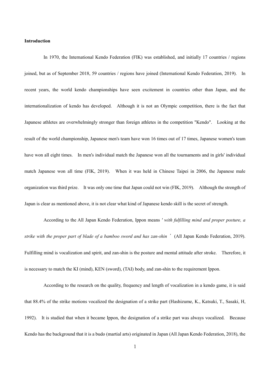## **Introduction**

In 1970, the International Kendo Federation (FIK) was established, and initially 17 countries / regions joined, but as of September 2018, 59 countries / regions have joined (International Kendo Federation, 2019). In recent years, the world kendo championships have seen excitement in countries other than Japan, and the internationalization of kendo has developed. Although it is not an Olympic competition, there is the fact that Japanese athletes are overwhelmingly stronger than foreign athletes in the competition "Kendo". Looking at the result of the world championship, Japanese men's team have won 16 times out of 17 times, Japanese women's team have won all eight times. In men's individual match the Japanese won all the tournaments and in girls' individual match Japanese won all time (FIK, 2019). When it was held in Chinese Taipei in 2006, the Japanese male organization was third prize. It was only one time that Japan could not win (FIK, 2019). Although the strength of Japan is clear as mentioned above, it is not clear what kind of Japanese kendo skill is the secret of strength.

According to the All Japan Kendo Federation, Ippon means *' with fulfilling mind and proper posture, a strike with the proper part of blade of a bamboo sword and has zan-shin*' (All Japan Kendo Federation, 2019). Fulfilling mind is vocalization and spirit, and zan-shin is the posture and mental attitude after stroke. Therefore, it is necessary to match the KI (mind), KEN (sword), (TAI) body, and zan-shin to the requirement Ippon.

According to the research on the quality, frequency and length of vocalization in a kendo game, it is said that 88.4% of the strike motions vocalized the designation of a strike part (Hashizume, K., Katsuki, T., Sasaki, H, 1992). It is studied that when it became Ippon, the designation of a strike part was always vocalized. Because Kendo has the background that it is a budo (martial arts) originated in Japan (All Japan Kendo Federation, 2018), the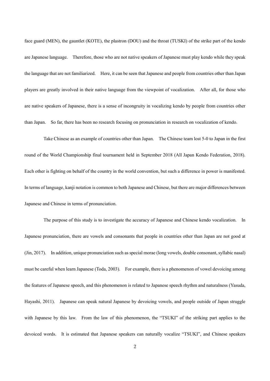face guard (MEN), the gauntlet (KOTE), the plastron (DOU) and the throat (TUSKI) of the strike part of the kendo are Japanese language. Therefore, those who are not native speakers of Japanese must play kendo while they speak the language that are not familiarized. Here, it can be seen that Japanese and people from countries other than Japan players are greatly involved in their native language from the viewpoint of vocalization. After all, for those who are native speakers of Japanese, there is a sense of incongruity in vocalizing kendo by people from countries other than Japan. So far, there has been no research focusing on pronunciation in research on vocalization of kendo.

Take Chinese as an example of countries other than Japan. The Chinese team lost 5-0 to Japan in the first round of the World Championship final tournament held in September 2018 (All Japan Kendo Federation, 2018). Each other is fighting on behalf of the country in the world convention, but such a difference in power is manifested. In terms of language, kanji notation is common to both Japanese and Chinese, but there are major differences between Japanese and Chinese in terms of pronunciation.

The purpose of this study is to investigate the accuracy of Japanese and Chinese kendo vocalization. In Japanese pronunciation, there are vowels and consonants that people in countries other than Japan are not good at (Jin, 2017). In addition, unique pronunciation such as special morae (long vowels, double consonant, syllabic nasal) must be careful when learn Japanese (Toda, 2003). For example, there is a phenomenon of vowel devoicing among the features of Japanese speech, and this phenomenon is related to Japanese speech rhythm and naturalness (Yasuda, Hayashi, 2011). Japanese can speak natural Japanese by devoicing vowels, and people outside of Japan struggle with Japanese by this law. From the law of this phenomenon, the "TSUKI" of the striking part applies to the devoiced words. It is estimated that Japanese speakers can naturally vocalize "TSUKI", and Chinese speakers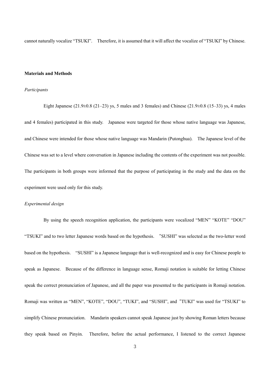cannot naturally vocalize "TSUKI". Therefore, it is assumed that it will affect the vocalize of "TSUKI" by Chinese.

# **Materials and Methods**

#### *Participants*

Eight Japanese  $(21.9\pm 0.8 \ (21-23)$  ys, 5 males and 3 females) and Chinese  $(21.9\pm 0.8 \ (15-33)$  ys, 4 males and 4 females) participated in this study. Japanese were targeted for those whose native language was Japanese, and Chinese were intended for those whose native language was Mandarin (Putonghua). The Japanese level of the Chinese was set to a level where conversation in Japanese including the contents of the experiment was not possible. The participants in both groups were informed that the purpose of participating in the study and the data on the experiment were used only for this study.

# *Experimental design*

By using the speech recognition application, the participants were vocalized "MEN" "KOTE" "DOU" "TSUKI" and to two letter Japanese words based on the hypothesis. "SUSHI" was selected as the two-letter word based on the hypothesis. "SUSHI" is a Japanese language that is well-recognized and is easy for Chinese people to speak as Japanese. Because of the difference in language sense, Romaji notation is suitable for letting Chinese speak the correct pronunciation of Japanese, and all the paper was presented to the participants in Romaji notation. Romaji was written as "MEN", "KOTE", "DOU", "TUKI", and "SUSHI", and "TUKI" was used for "TSUKI" to simplify Chinese pronunciation. Mandarin speakers cannot speak Japanese just by showing Roman letters because they speak based on Pinyin. Therefore, before the actual performance, I listened to the correct Japanese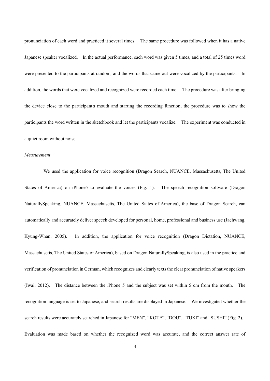pronunciation of each word and practiced it several times. The same procedure was followed when it has a native Japanese speaker vocalized. In the actual performance, each word was given 5 times, and a total of 25 times word were presented to the participants at random, and the words that came out were vocalized by the participants. In addition, the words that were vocalized and recognized were recorded each time. The procedure was after bringing the device close to the participant's mouth and starting the recording function, the procedure was to show the participants the word written in the sketchbook and let the participants vocalize. The experiment was conducted in a quiet room without noise.

## *Measurement*

We used the application for voice recognition (Dragon Search, NUANCE, Massachusetts, The United States of America) on iPhone5 to evaluate the voices (Fig. 1). The speech recognition software (Dragon NaturallySpeaking, NUANCE, Massachusetts, The United States of America), the base of Dragon Search, can automatically and accurately deliver speech developed for personal, home, professional and business use (Jaehwang, Kyung-Whan, 2005). In addition, the application for voice recognition (Dragon Dictation, NUANCE, Massachusetts, The United States of America), based on Dragon NaturallySpeaking, is also used in the practice and verification of pronunciation in German, which recognizes and clearly texts the clear pronunciation of native speakers (Iwai, 2012). The distance between the iPhone 5 and the subject was set within 5 cm from the mouth. The recognition language is set to Japanese, and search results are displayed in Japanese. We investigated whether the search results were accurately searched in Japanese for "MEN", "KOTE", "DOU", "TUKI" and "SUSHI" (Fig. 2). Evaluation was made based on whether the recognized word was accurate, and the correct answer rate of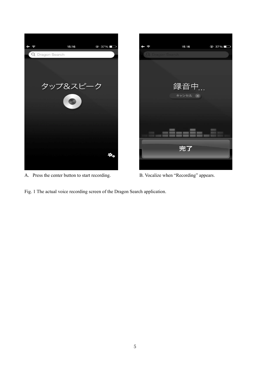

A. Press the center button to start recording. B. Vocalize when "Recording" appears.



Fig. 1 The actual voice recording screen of the Dragon Search application.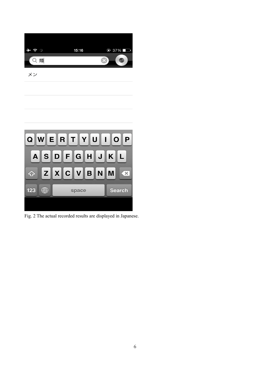

メン



Fig. 2 The actual recorded results are displayed in Japanese.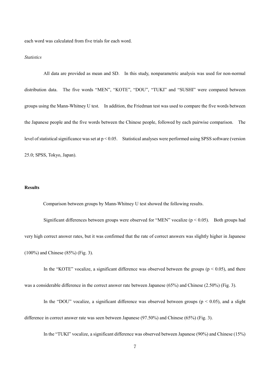each word was calculated from five trials for each word.

#### *Statistics*

All data are provided as mean and SD. In this study, nonparametric analysis was used for non-normal distribution data. The five words "MEN", "KOTE", "DOU", "TUKI" and "SUSHI" were compared between groups using the Mann-Whitney U test. In addition, the Friedman test was used to compare the five words between the Japanese people and the five words between the Chinese people, followed by each pairwise comparison. The level of statistical significance was set at p < 0.05. Statistical analyses were performed using SPSS software (version 25.0; SPSS, Tokyo, Japan).

# **Results**

Comparison between groups by Mann-Whitney U test showed the following results.

Significant differences between groups were observed for "MEN" vocalize ( $p < 0.05$ ). Both groups had very high correct answer rates, but it was confirmed that the rate of correct answers was slightly higher in Japanese (100%) and Chinese (85%) (Fig. 3).

In the "KOTE" vocalize, a significant difference was observed between the groups ( $p < 0.05$ ), and there was a considerable difference in the correct answer rate between Japanese (65%) and Chinese (2.50%) (Fig. 3).

In the "DOU" vocalize, a significant difference was observed between groups ( $p < 0.05$ ), and a slight

difference in correct answer rate was seen between Japanese (97.50%) and Chinese (65%) (Fig. 3).

In the "TUKI" vocalize, a significant difference was observed between Japanese (90%) and Chinese (15%)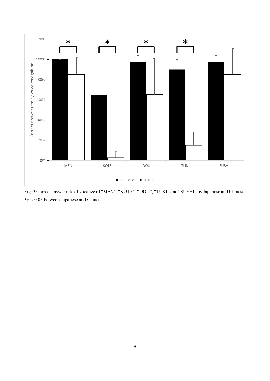

Fig. 3 Correct answer rate of vocalize of "MEN", "KOTE", "DOU", "TUKI" and "SUSHI" by Japanese and Chinese. \*p < 0.05 between Japanese and Chinese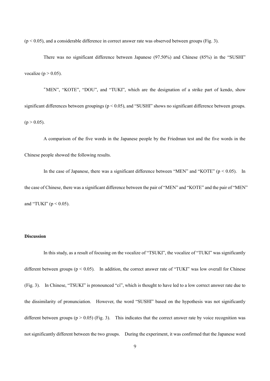$(p < 0.05)$ , and a considerable difference in correct answer rate was observed between groups (Fig. 3).

 There was no significant difference between Japanese (97.50%) and Chinese (85%) in the "SUSHI" vocalize ( $p > 0.05$ ).

 "MEN", "KOTE", "DOU", and "TUKI", which are the designation of a strike part of kendo, show significant differences between groupings ( $p < 0.05$ ), and "SUSHI" shows no significant difference between groups.  $(p > 0.05)$ .

 A comparison of the five words in the Japanese people by the Friedman test and the five words in the Chinese people showed the following results.

In the case of Japanese, there was a significant difference between "MEN" and "KOTE" ( $p < 0.05$ ). In the case of Chinese, there was a significant difference between the pair of "MEN" and "KOTE" and the pair of "MEN" and "TUKI" ( $p < 0.05$ ).

# **Discussion**

In this study, as a result of focusing on the vocalize of "TSUKI", the vocalize of "TUKI" was significantly different between groups (p < 0.05). In addition, the correct answer rate of "TUKI" was low overall for Chinese (Fig. 3). In Chinese, "TSUKI" is pronounced "cì", which is thought to have led to a low correct answer rate due to the dissimilarity of pronunciation. However, the word "SUSHI" based on the hypothesis was not significantly different between groups  $(p > 0.05)$  (Fig. 3). This indicates that the correct answer rate by voice recognition was not significantly different between the two groups. During the experiment, it was confirmed that the Japanese word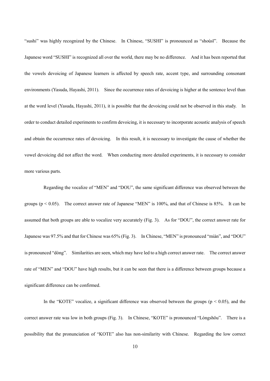"sushi" was highly recognized by the Chinese. In Chinese, "SUSHI" is pronounced as "shoùsī". Because the Japanese word "SUSHI" is recognized all over the world, there may be no difference. And it has been reported that the vowels devoicing of Japanese learners is affected by speech rate, accent type, and surrounding consonant environments (Yasuda, Hayashi, 2011). Since the occurrence rates of devoicing is higher at the sentence level than at the word level (Yasuda, Hayashi, 2011), it is possible that the devoicing could not be observed in this study. In order to conduct detailed experiments to confirm devoicing, it is necessary to incorporate acoustic analysis of speech and obtain the occurrence rates of devoicing. In this result, it is necessary to investigate the cause of whether the vowel devoicing did not affect the word. When conducting more detailed experiments, it is necessary to consider more various parts.

 Regarding the vocalize of "MEN" and "DOU", the same significant difference was observed between the groups ( $p < 0.05$ ). The correct answer rate of Japanese "MEN" is 100%, and that of Chinese is 85%. It can be assumed that both groups are able to vocalize very accurately (Fig. 3). As for "DOU", the correct answer rate for Japanese was 97.5% and that for Chinese was 65% (Fig. 3). In Chinese, "MEN" is pronounced "miàn", and "DOU" is pronounced "dòng". Similarities are seen, which may have led to a high correct answer rate. The correct answer rate of "MEN" and "DOU" have high results, but it can be seen that there is a difference between groups because a significant difference can be confirmed.

In the "KOTE" vocalize, a significant difference was observed between the groups ( $p < 0.05$ ), and the correct answer rate was low in both groups (Fig. 3). In Chinese, "KOTE" is pronounced "Lóngshǒu". There is a possibility that the pronunciation of "KOTE" also has non-similarity with Chinese. Regarding the low correct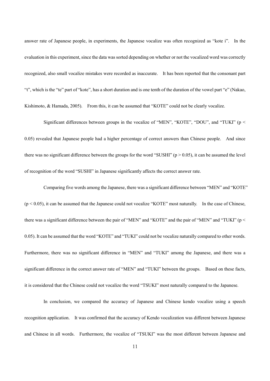answer rate of Japanese people, in experiments, the Japanese vocalize was often recognized as "kote i". In the evaluation in this experiment, since the data was sorted depending on whether or not the vocalized word was correctly recognized, also small vocalize mistakes were recorded as inaccurate. It has been reported that the consonant part "t", which is the "te" part of "kote", has a short duration and is one tenth of the duration of the vowel part "e" (Nakao, Kishimoto, & Hamada, 2005). From this, it can be assumed that "KOTE" could not be clearly vocalize.

 Significant differences between groups in the vocalize of "MEN", "KOTE", "DOU", and "TUKI" (p < 0.05) revealed that Japanese people had a higher percentage of correct answers than Chinese people. And since there was no significant difference between the groups for the word "SUSHI" ( $p > 0.05$ ), it can be assumed the level of recognition of the word "SUSHI" in Japanese significantly affects the correct answer rate.

Comparing five words among the Japanese, there was a significant difference between "MEN" and "KOTE"  $(p < 0.05)$ , it can be assumed that the Japanese could not vocalize "KOTE" most naturally. In the case of Chinese, there was a significant difference between the pair of "MEN" and "KOTE" and the pair of "MEN" and "TUKI" (p < 0.05). It can be assumed that the word "KOTE" and "TUKI" could not be vocalize naturally compared to other words. Furthermore, there was no significant difference in "MEN" and "TUKI" among the Japanese, and there was a significant difference in the correct answer rate of "MEN" and "TUKI" between the groups. Based on these facts, it is considered that the Chinese could not vocalize the word "TSUKI" most naturally compared to the Japanese.

In conclusion, we compared the accuracy of Japanese and Chinese kendo vocalize using a speech recognition application. It was confirmed that the accuracy of Kendo vocalization was different between Japanese and Chinese in all words. Furthermore, the vocalize of "TSUKI" was the most different between Japanese and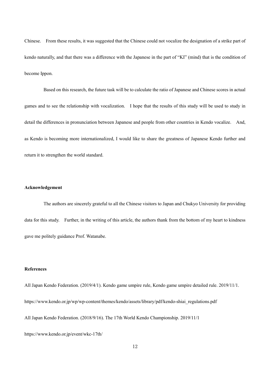Chinese. From these results, it was suggested that the Chinese could not vocalize the designation of a strike part of kendo naturally, and that there was a difference with the Japanese in the part of "KI" (mind) that is the condition of become Ippon.

 Based on this research, the future task will be to calculate the ratio of Japanese and Chinese scores in actual games and to see the relationship with vocalization. I hope that the results of this study will be used to study in detail the differences in pronunciation between Japanese and people from other countries in Kendo vocalize. And, as Kendo is becoming more internationalized, I would like to share the greatness of Japanese Kendo further and return it to strengthen the world standard.

# **Acknowledgement**

 The authors are sincerely grateful to all the Chinese visitors to Japan and Chukyo University for providing data for this study. Further, in the writing of this article, the authors thank from the bottom of my heart to kindness gave me politely guidance Prof. Watanabe.

## **References**

All Japan Kendo Federation. (2019/4/1). Kendo game umpire rule, Kendo game umpire detailed rule. 2019/11/1. https://www.kendo.or.jp/wp/wp-content/themes/kendo/assets/library/pdf/kendo-shiai\_regulations.pdf All Japan Kendo Federation. (2018/9/16). The 17th World Kendo Championship. 2019/11/1

https://www.kendo.or.jp/event/wkc-17th/